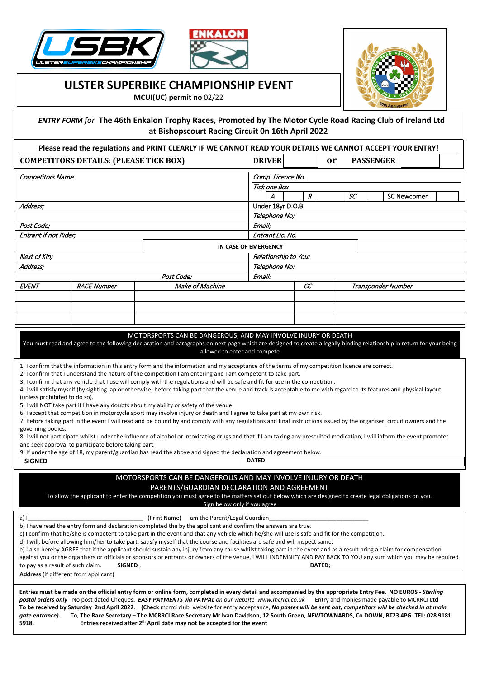





## **ULSTER SUPERBIKE CHAMPIONSHIP EVENT**

**MCUI(UC) permit no** 02/22

**5918. Entries received after 2th April date may not be accepted for the event**

 *ENTRY FORM for* **The 46th Enkalon Trophy Races, Promoted by The Motor Cycle Road Racing Club of Ireland Ltd at Bishopscourt Racing Circuit 0n 16th April 2022**

| Please read the regulations and PRINT CLEARLY IF WE CANNOT READ YOUR DETAILS WE CANNOT ACCEPT YOUR ENTRY!                                                                                                                                                                                                                                                                                                                                                                                                                                                                                                                                                                                                                                                                                                                                                                                                                                                                                                                                                                                                                                                                                                                                                                                                                                                                                                                                                                                                                                                                                                                                                                                                                                                                                                                                                                                                                                                           |                      |                                                                                                                                                                                                                                                                                                                                                                                                                                                                                                                                                                                                                                                                                                                                                                                                                                  |               |                                                |        |  |    |  |                    |                                             |  |
|---------------------------------------------------------------------------------------------------------------------------------------------------------------------------------------------------------------------------------------------------------------------------------------------------------------------------------------------------------------------------------------------------------------------------------------------------------------------------------------------------------------------------------------------------------------------------------------------------------------------------------------------------------------------------------------------------------------------------------------------------------------------------------------------------------------------------------------------------------------------------------------------------------------------------------------------------------------------------------------------------------------------------------------------------------------------------------------------------------------------------------------------------------------------------------------------------------------------------------------------------------------------------------------------------------------------------------------------------------------------------------------------------------------------------------------------------------------------------------------------------------------------------------------------------------------------------------------------------------------------------------------------------------------------------------------------------------------------------------------------------------------------------------------------------------------------------------------------------------------------------------------------------------------------------------------------------------------------|----------------------|----------------------------------------------------------------------------------------------------------------------------------------------------------------------------------------------------------------------------------------------------------------------------------------------------------------------------------------------------------------------------------------------------------------------------------------------------------------------------------------------------------------------------------------------------------------------------------------------------------------------------------------------------------------------------------------------------------------------------------------------------------------------------------------------------------------------------------|---------------|------------------------------------------------|--------|--|----|--|--------------------|---------------------------------------------|--|
| <b>COMPETITORS DETAILS: (PLEASE TICK BOX)</b>                                                                                                                                                                                                                                                                                                                                                                                                                                                                                                                                                                                                                                                                                                                                                                                                                                                                                                                                                                                                                                                                                                                                                                                                                                                                                                                                                                                                                                                                                                                                                                                                                                                                                                                                                                                                                                                                                                                       |                      |                                                                                                                                                                                                                                                                                                                                                                                                                                                                                                                                                                                                                                                                                                                                                                                                                                  |               | <b>DRIVER</b><br><b>PASSENGER</b><br><b>or</b> |        |  |    |  |                    |                                             |  |
| <b>Competitors Name</b>                                                                                                                                                                                                                                                                                                                                                                                                                                                                                                                                                                                                                                                                                                                                                                                                                                                                                                                                                                                                                                                                                                                                                                                                                                                                                                                                                                                                                                                                                                                                                                                                                                                                                                                                                                                                                                                                                                                                             |                      |                                                                                                                                                                                                                                                                                                                                                                                                                                                                                                                                                                                                                                                                                                                                                                                                                                  |               | Comp. Licence No.                              |        |  |    |  |                    |                                             |  |
|                                                                                                                                                                                                                                                                                                                                                                                                                                                                                                                                                                                                                                                                                                                                                                                                                                                                                                                                                                                                                                                                                                                                                                                                                                                                                                                                                                                                                                                                                                                                                                                                                                                                                                                                                                                                                                                                                                                                                                     |                      |                                                                                                                                                                                                                                                                                                                                                                                                                                                                                                                                                                                                                                                                                                                                                                                                                                  |               | <b>Tick one Box</b><br>A                       |        |  |    |  |                    |                                             |  |
|                                                                                                                                                                                                                                                                                                                                                                                                                                                                                                                                                                                                                                                                                                                                                                                                                                                                                                                                                                                                                                                                                                                                                                                                                                                                                                                                                                                                                                                                                                                                                                                                                                                                                                                                                                                                                                                                                                                                                                     |                      |                                                                                                                                                                                                                                                                                                                                                                                                                                                                                                                                                                                                                                                                                                                                                                                                                                  |               |                                                | R      |  | SС |  |                    | <b>SC Newcomer</b>                          |  |
| Address;                                                                                                                                                                                                                                                                                                                                                                                                                                                                                                                                                                                                                                                                                                                                                                                                                                                                                                                                                                                                                                                                                                                                                                                                                                                                                                                                                                                                                                                                                                                                                                                                                                                                                                                                                                                                                                                                                                                                                            |                      |                                                                                                                                                                                                                                                                                                                                                                                                                                                                                                                                                                                                                                                                                                                                                                                                                                  |               | Under 18yr D.O.B                               |        |  |    |  |                    |                                             |  |
| Post Code;                                                                                                                                                                                                                                                                                                                                                                                                                                                                                                                                                                                                                                                                                                                                                                                                                                                                                                                                                                                                                                                                                                                                                                                                                                                                                                                                                                                                                                                                                                                                                                                                                                                                                                                                                                                                                                                                                                                                                          |                      |                                                                                                                                                                                                                                                                                                                                                                                                                                                                                                                                                                                                                                                                                                                                                                                                                                  |               | Telephone No;<br>Email;                        |        |  |    |  |                    |                                             |  |
| Entrant if not Rider;                                                                                                                                                                                                                                                                                                                                                                                                                                                                                                                                                                                                                                                                                                                                                                                                                                                                                                                                                                                                                                                                                                                                                                                                                                                                                                                                                                                                                                                                                                                                                                                                                                                                                                                                                                                                                                                                                                                                               |                      |                                                                                                                                                                                                                                                                                                                                                                                                                                                                                                                                                                                                                                                                                                                                                                                                                                  |               | Entrant Lic. No.                               |        |  |    |  |                    |                                             |  |
|                                                                                                                                                                                                                                                                                                                                                                                                                                                                                                                                                                                                                                                                                                                                                                                                                                                                                                                                                                                                                                                                                                                                                                                                                                                                                                                                                                                                                                                                                                                                                                                                                                                                                                                                                                                                                                                                                                                                                                     | IN CASE OF EMERGENCY |                                                                                                                                                                                                                                                                                                                                                                                                                                                                                                                                                                                                                                                                                                                                                                                                                                  |               |                                                |        |  |    |  |                    |                                             |  |
| Next of Kin;                                                                                                                                                                                                                                                                                                                                                                                                                                                                                                                                                                                                                                                                                                                                                                                                                                                                                                                                                                                                                                                                                                                                                                                                                                                                                                                                                                                                                                                                                                                                                                                                                                                                                                                                                                                                                                                                                                                                                        | Relationship to You: |                                                                                                                                                                                                                                                                                                                                                                                                                                                                                                                                                                                                                                                                                                                                                                                                                                  |               |                                                |        |  |    |  |                    |                                             |  |
| Address;                                                                                                                                                                                                                                                                                                                                                                                                                                                                                                                                                                                                                                                                                                                                                                                                                                                                                                                                                                                                                                                                                                                                                                                                                                                                                                                                                                                                                                                                                                                                                                                                                                                                                                                                                                                                                                                                                                                                                            |                      |                                                                                                                                                                                                                                                                                                                                                                                                                                                                                                                                                                                                                                                                                                                                                                                                                                  | Telephone No: |                                                |        |  |    |  |                    |                                             |  |
|                                                                                                                                                                                                                                                                                                                                                                                                                                                                                                                                                                                                                                                                                                                                                                                                                                                                                                                                                                                                                                                                                                                                                                                                                                                                                                                                                                                                                                                                                                                                                                                                                                                                                                                                                                                                                                                                                                                                                                     |                      | Post Code;                                                                                                                                                                                                                                                                                                                                                                                                                                                                                                                                                                                                                                                                                                                                                                                                                       | Email:        |                                                |        |  |    |  |                    |                                             |  |
| <b>EVENT</b>                                                                                                                                                                                                                                                                                                                                                                                                                                                                                                                                                                                                                                                                                                                                                                                                                                                                                                                                                                                                                                                                                                                                                                                                                                                                                                                                                                                                                                                                                                                                                                                                                                                                                                                                                                                                                                                                                                                                                        | <b>RACE Number</b>   | Make of Machine                                                                                                                                                                                                                                                                                                                                                                                                                                                                                                                                                                                                                                                                                                                                                                                                                  |               |                                                | cc     |  |    |  | Transponder Number |                                             |  |
|                                                                                                                                                                                                                                                                                                                                                                                                                                                                                                                                                                                                                                                                                                                                                                                                                                                                                                                                                                                                                                                                                                                                                                                                                                                                                                                                                                                                                                                                                                                                                                                                                                                                                                                                                                                                                                                                                                                                                                     |                      |                                                                                                                                                                                                                                                                                                                                                                                                                                                                                                                                                                                                                                                                                                                                                                                                                                  |               |                                                |        |  |    |  |                    |                                             |  |
|                                                                                                                                                                                                                                                                                                                                                                                                                                                                                                                                                                                                                                                                                                                                                                                                                                                                                                                                                                                                                                                                                                                                                                                                                                                                                                                                                                                                                                                                                                                                                                                                                                                                                                                                                                                                                                                                                                                                                                     |                      |                                                                                                                                                                                                                                                                                                                                                                                                                                                                                                                                                                                                                                                                                                                                                                                                                                  |               |                                                |        |  |    |  |                    |                                             |  |
|                                                                                                                                                                                                                                                                                                                                                                                                                                                                                                                                                                                                                                                                                                                                                                                                                                                                                                                                                                                                                                                                                                                                                                                                                                                                                                                                                                                                                                                                                                                                                                                                                                                                                                                                                                                                                                                                                                                                                                     |                      |                                                                                                                                                                                                                                                                                                                                                                                                                                                                                                                                                                                                                                                                                                                                                                                                                                  |               |                                                |        |  |    |  |                    |                                             |  |
| MOTORSPORTS CAN BE DANGEROUS, AND MAY INVOLVE INJURY OR DEATH<br>You must read and agree to the following declaration and paragraphs on next page which are designed to create a legally binding relationship in return for your being<br>allowed to enter and compete<br>1. I confirm that the information in this entry form and the information and my acceptance of the terms of my competition licence are correct.<br>2. I confirm that I understand the nature of the competition I am entering and I am competent to take part.<br>3. I confirm that any vehicle that I use will comply with the regulations and will be safe and fit for use in the competition.<br>4. I will satisfy myself (by sighting lap or otherwise) before taking part that the venue and track is acceptable to me with regard to its features and physical layout<br>(unless prohibited to do so).<br>5. I will NOT take part if I have any doubts about my ability or safety of the venue.<br>6. I accept that competition in motorcycle sport may involve injury or death and I agree to take part at my own risk.<br>7. Before taking part in the event I will read and be bound by and comply with any regulations and final instructions issued by the organiser, circuit owners and the<br>governing bodies.<br>8. I will not participate whilst under the influence of alcohol or intoxicating drugs and that if I am taking any prescribed medication, I will inform the event promoter<br>and seek approval to participate before taking part.<br>9. If under the age of 18, my parent/guardian has read the above and signed the declaration and agreement below.<br><b>DATED</b><br><b>SIGNED</b><br>MOTORSPORTS CAN BE DANGEROUS AND MAY INVOLVE INJURY OR DEATH<br>PARENTS/GUARDIAN DECLARATION AND AGREEMENT<br>To allow the applicant to enter the competition you must agree to the matters set out below which are designed to create legal obligations on you. |                      |                                                                                                                                                                                                                                                                                                                                                                                                                                                                                                                                                                                                                                                                                                                                                                                                                                  |               |                                                |        |  |    |  |                    |                                             |  |
| a) I<br>to pay as a result of such claim.<br><b>Address</b> (if different from applicant)                                                                                                                                                                                                                                                                                                                                                                                                                                                                                                                                                                                                                                                                                                                                                                                                                                                                                                                                                                                                                                                                                                                                                                                                                                                                                                                                                                                                                                                                                                                                                                                                                                                                                                                                                                                                                                                                           | SIGNED;              | Sign below only if you agree<br>am the Parent/Legal Guardian<br>(Print Name)<br>b) I have read the entry form and declaration completed the by the applicant and confirm the answers are true.<br>c) I confirm that he/she is competent to take part in the event and that any vehicle which he/she will use is safe and fit for the competition.<br>d) I will, before allowing him/her to take part, satisfy myself that the course and facilities are safe and will inspect same.<br>e) I also hereby AGREE that if the applicant should sustain any injury from any cause whilst taking part in the event and as a result bring a claim for compensation<br>against you or the organisers or officials or sponsors or entrants or owners of the venue, I WILL INDEMNIFY AND PAY BACK TO YOU any sum which you may be required |               |                                                | DATED; |  |    |  |                    |                                             |  |
| gate entrance).                                                                                                                                                                                                                                                                                                                                                                                                                                                                                                                                                                                                                                                                                                                                                                                                                                                                                                                                                                                                                                                                                                                                                                                                                                                                                                                                                                                                                                                                                                                                                                                                                                                                                                                                                                                                                                                                                                                                                     |                      | Entries must be made on the official entry form or online form, completed in every detail and accompanied by the appropriate Entry Fee. NO EUROS - Sterling<br>postal orders only - No post dated Cheques. EASY PAYMENTS via PAYPAL on our website www.mcrrci.co.uk<br>To be received by Saturday 2nd April 2022. (Check mcrrci club website for entry acceptance, No passes will be sent out, competitors will be checked in at main<br>To, The Race Secretary - The MCRRCI Race Secretary Mr Ivan Davidson, 12 South Green, NEWTOWNARDS, Co DOWN, BT23 4PG. TEL: 028 9181                                                                                                                                                                                                                                                      |               |                                                |        |  |    |  |                    | Entry and monies made payable to MCRRCI Ltd |  |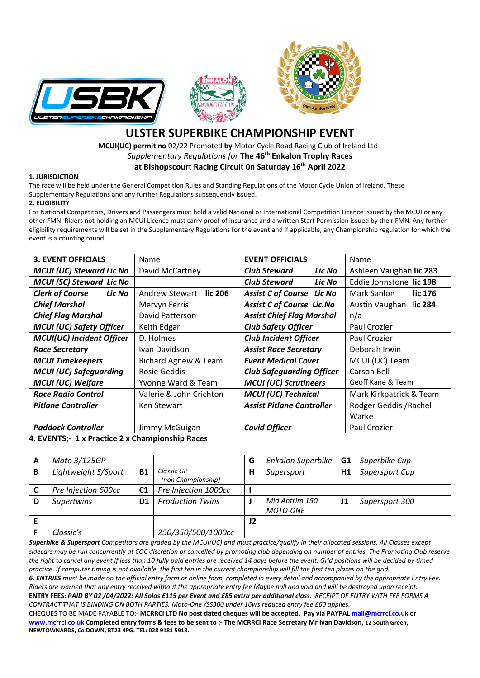





## **ULSTER SUPERBIKE CHAMPIONSHIP EVENT**

 **MCUI(UC) permit no** 02/22 Promoted **by** Motor Cycle Road Racing Club of Ireland Ltd *Supplementary Regulations for* **The 46th Enkalon Trophy Races at Bishopscourt Racing Circuit 0n Saturday 16th April 2022**

## **1. JURISDICTION**

The race will be held under the General Competition Rules and Standing Regulations of the Motor Cycle Union of Ireland. These Supplementary Regulations and any further Regulations subsequently issued.

## **2. ELIGIBILITY**

For National Competitors, Drivers and Passengers must hold a valid National or International Competition Licence issued by the MCUI or any other FMN. Riders not holding an MCUI Licence must carry proof of insurance and a written Start Permission issued by their FMN. Any further eligibility requirements will be set in the Supplementary Regulations for the event and if applicable, any Championship regulation for which the event is a counting round.

| <b>3. EVENT OFFICIALS</b>        | Name                             | <b>EVENT OFFICIALS</b>           | Name                    |  |  |
|----------------------------------|----------------------------------|----------------------------------|-------------------------|--|--|
| <b>MCUI (UC) Steward Lic No</b>  | David McCartney                  | <b>Club Steward</b><br>Lic No    | Ashleen Vaughan lic 283 |  |  |
| <b>MCUI (SC) Steward Lic No</b>  |                                  | <b>Club Steward</b><br>Lic No    | Eddie Johnstone lic 198 |  |  |
| <b>Clerk of Course</b><br>Lic No | <b>Andrew Stewart</b><br>lic 206 | <b>Assist C of Course Lic No</b> | Mark Sanlon<br>lic 176  |  |  |
| <b>Chief Marshal</b>             | Mervyn Ferris                    | <b>Assist C of Course Lic.No</b> | Austin Vaughan lic 284  |  |  |
| <b>Chief Flag Marshal</b>        | David Patterson                  | <b>Assist Chief Flag Marshal</b> | n/a                     |  |  |
| <b>MCUI (UC) Safety Officer</b>  | Keith Edgar                      | <b>Club Safety Officer</b>       | Paul Crozier            |  |  |
| <b>MCUI(UC) Incident Officer</b> | D. Holmes                        | <b>Club Incident Officer</b>     | Paul Crozier            |  |  |
| <b>Race Secretary</b>            | Ivan Davidson                    | <b>Assist Race Secretary</b>     | Deborah Irwin           |  |  |
| <b>MCUI Timekeepers</b>          | Richard Agnew & Team             | <b>Event Medical Cover</b>       | MCUI (UC) Team          |  |  |
| <b>MCUI (UC) Safeguarding</b>    | Rosie Geddis                     | <b>Club Safeguarding Officer</b> | Carson Bell             |  |  |
| <b>MCUI (UC) Welfare</b>         | Yvonne Ward & Team               | <b>MCUI (UC) Scrutineers</b>     | Geoff Kane & Team       |  |  |
| <b>Race Radio Control</b>        | Valerie & John Crichton          | <b>MCUI (UC) Technical</b>       | Mark Kirkpatrick & Team |  |  |
| <b>Pitlane Controller</b>        | Ken Stewart                      | <b>Assist Pitlane Controller</b> | Rodger Geddis / Rachel  |  |  |
|                                  |                                  |                                  | Warke                   |  |  |
| <b>Paddock Controller</b>        | Jimmy McGuigan                   | <b>Covid Officer</b>             | Paul Crozier            |  |  |

**4. EVENTS;- 1 x Practice 2 x Championship Races**

| A | Moto 3/125GP        |                |                                  | G  | <b>Enkalon Superbike</b>          | G <sub>1</sub> | Superbike Cup  |
|---|---------------------|----------------|----------------------------------|----|-----------------------------------|----------------|----------------|
| B | Lightweight S/Sport | <b>B1</b>      | Classic GP<br>(non Championship) | н  | Supersport                        | H1             | Supersport Cup |
|   | Pre Injection 600cc | C <sub>1</sub> | Pre Injection 1000cc             |    |                                   |                |                |
| D | <b>Supertwins</b>   | D1             | <b>Production Twins</b>          |    | Mid Antrim 150<br><b>MOTO-ONE</b> | J1             | Supersport 300 |
|   |                     |                |                                  | 12 |                                   |                |                |
|   | Classic's           |                | 250/350/500/1000cc               |    |                                   |                |                |

*Superbike & Supersport Competitors are graded by the MCUI(UC) and must practice/qualify in their allocated sessions. All Classes except sidecars may be run concurrently at COC discretion or cancelled by promoting club depending on number of entries. The Promoting Club reserve*  the right to cancel any event if less than 10 fully paid entries are received 14 days before the event. Grid positions will be decided by timed *practice. If computer timing is not available, the first ten in the current championship will fill the first ten places on the grid.* 

*6. ENTRIES must be made on the official entry form or online form, completed in every detail and accompanied by the appropriate Entry Fee. Riders are warned that any entry received without the appropriate entry fee Maybe null and void and will be destroyed upon receipt.* **ENTRY FEES:** *PAID BY 02 /04/2022: All Solos £115 per Event and £85 extra per additional class. RECEIPT OF ENTRY WITH FEE FORMS A CONTRACT THAT IS BINDING ON BOTH PARTIES. Moto-One /SS300 under 16yrs reduced entry fee £60 applies.*

CHEQUES TO BE MADE PAYABLE TO:- **MCRRCI LTD No post dated cheques will be accepted. Pay via PAYPA[L mail@mcrrci.co.uk](mailto:mail@mcrrci.co.uk) or [www.mcrrci.co.uk](http://www.mcrrci.co.uk/) Completed entry forms & fees to be sent to :- The MCRRCI Race Secretary Mr Ivan Davidson, 12 South Green, NEWTOWNARDS, Co DOWN, BT23 4PG. TEL: 028 9181 5918.**